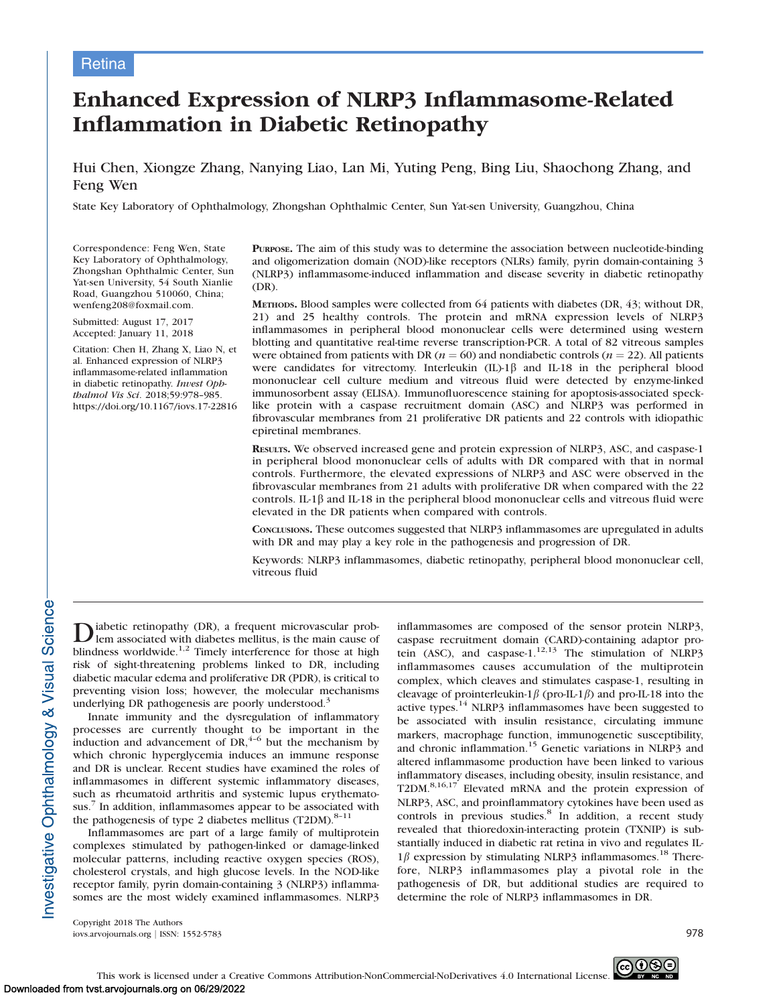# **Retina**

# Enhanced Expression of NLRP3 Inflammasome-Related Inflammation in Diabetic Retinopathy

Hui Chen, Xiongze Zhang, Nanying Liao, Lan Mi, Yuting Peng, Bing Liu, Shaochong Zhang, and Feng Wen

State Key Laboratory of Ophthalmology, Zhongshan Ophthalmic Center, Sun Yat-sen University, Guangzhou, China

Correspondence: Feng Wen, State Key Laboratory of Ophthalmology, Zhongshan Ophthalmic Center, Sun Yat-sen University, 54 South Xianlie Road, Guangzhou 510060, China; wenfeng208@foxmail.com.

Submitted: August 17, 2017 Accepted: January 11, 2018

Citation: Chen H, Zhang X, Liao N, et al. Enhanced expression of NLRP3 inflammasome-related inflammation in diabetic retinopathy. Invest Ophthalmol Vis Sci. 2018;59:978–985. https://doi.org/10.1167/iovs.17-22816 PURPOSE. The aim of this study was to determine the association between nucleotide-binding and oligomerization domain (NOD)-like receptors (NLRs) family, pyrin domain-containing 3 (NLRP3) inflammasome-induced inflammation and disease severity in diabetic retinopathy (DR).

METHODS. Blood samples were collected from 64 patients with diabetes (DR, 43; without DR, 21) and 25 healthy controls. The protein and mRNA expression levels of NLRP3 inflammasomes in peripheral blood mononuclear cells were determined using western blotting and quantitative real-time reverse transcription-PCR. A total of 82 vitreous samples were obtained from patients with DR ( $n = 60$ ) and nondiabetic controls ( $n = 22$ ). All patients were candidates for vitrectomy. Interleukin  $(II)$ -1 $\beta$  and IL-18 in the peripheral blood mononuclear cell culture medium and vitreous fluid were detected by enzyme-linked immunosorbent assay (ELISA). Immunofluorescence staining for apoptosis-associated specklike protein with a caspase recruitment domain (ASC) and NLRP3 was performed in fibrovascular membranes from 21 proliferative DR patients and 22 controls with idiopathic epiretinal membranes.

RESULTS. We observed increased gene and protein expression of NLRP3, ASC, and caspase-1 in peripheral blood mononuclear cells of adults with DR compared with that in normal controls. Furthermore, the elevated expressions of NLRP3 and ASC were observed in the fibrovascular membranes from 21 adults with proliferative DR when compared with the 22 controls. IL-1 $\beta$  and IL-18 in the peripheral blood mononuclear cells and vitreous fluid were elevated in the DR patients when compared with controls.

CONCLUSIONS. These outcomes suggested that NLRP3 inflammasomes are upregulated in adults with DR and may play a key role in the pathogenesis and progression of DR.

Keywords: NLRP3 inflammasomes, diabetic retinopathy, peripheral blood mononuclear cell, vitreous fluid

 $\sum$  iabetic retinopathy (DR), a frequent microvascular prob-<br>lem associated with diabetes mellitus, is the main cause of blindness worldwide.<sup>1,2</sup> Timely interference for those at high risk of sight-threatening problems linked to DR, including diabetic macular edema and proliferative DR (PDR), is critical to preventing vision loss; however, the molecular mechanisms underlying DR pathogenesis are poorly understood.<sup>3</sup>

Innate immunity and the dysregulation of inflammatory processes are currently thought to be important in the induction and advancement of  $DR<sub>1</sub><sup>4-6</sup>$  but the mechanism by which chronic hyperglycemia induces an immune response and DR is unclear. Recent studies have examined the roles of inflammasomes in different systemic inflammatory diseases, such as rheumatoid arthritis and systemic lupus erythematosus.<sup>7</sup> In addition, inflammasomes appear to be associated with the pathogenesis of type 2 diabetes mellitus  $(T2DM).<sup>8-11</sup>$ 

Inflammasomes are part of a large family of multiprotein complexes stimulated by pathogen-linked or damage-linked molecular patterns, including reactive oxygen species (ROS), cholesterol crystals, and high glucose levels. In the NOD-like receptor family, pyrin domain-containing 3 (NLRP3) inflammasomes are the most widely examined inflammasomes. NLRP3 inflammasomes are composed of the sensor protein NLRP3, caspase recruitment domain (CARD)-containing adaptor protein (ASC), and caspase-1. $1^{12,13}$  The stimulation of NLRP3 inflammasomes causes accumulation of the multiprotein complex, which cleaves and stimulates caspase-1, resulting in cleavage of prointerleukin-1 $\beta$  (pro-IL-1 $\beta$ ) and pro-IL-18 into the active types.<sup>14</sup> NLRP3 inflammasomes have been suggested to be associated with insulin resistance, circulating immune markers, macrophage function, immunogenetic susceptibility, and chronic inflammation.<sup>15</sup> Genetic variations in NLRP3 and altered inflammasome production have been linked to various inflammatory diseases, including obesity, insulin resistance, and T2DM.<sup>8,16,17</sup> Elevated mRNA and the protein expression of NLRP3, ASC, and proinflammatory cytokines have been used as controls in previous studies.<sup>8</sup> In addition, a recent study revealed that thioredoxin-interacting protein (TXNIP) is substantially induced in diabetic rat retina in vivo and regulates IL- $1\beta$  expression by stimulating NLRP3 inflammasomes.<sup>18</sup> Therefore, NLRP3 inflammasomes play a pivotal role in the pathogenesis of DR, but additional studies are required to determine the role of NLRP3 inflammasomes in DR.

Copyright 2018 The Authors iovs.arvojournals.org j ISSN: 1552-5783 978

Investigative Ophthalmology & Visual Science

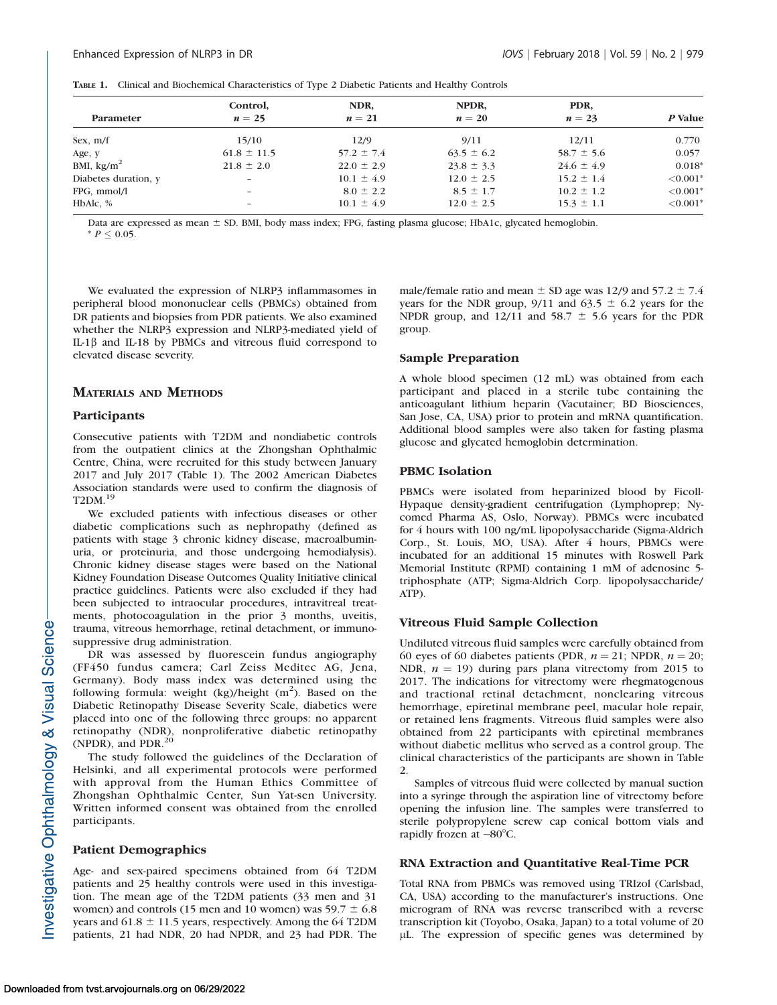|  | <b>TABLE 1.</b> Clinical and Biochemical Characteristics of Type 2 Diabetic Patients and Healthy Controls |  |  |  |  |
|--|-----------------------------------------------------------------------------------------------------------|--|--|--|--|
|--|-----------------------------------------------------------------------------------------------------------|--|--|--|--|

|                      | Control,<br>$n=25$       | NDR,<br>$n=21$ | NPDR.<br>$n=20$ | PDR,<br>$n=23$ | P Value     |
|----------------------|--------------------------|----------------|-----------------|----------------|-------------|
| Parameter            |                          |                |                 |                |             |
| Sex, $m/f$           | 15/10                    | 12/9           | 9/11            | 12/11          | 0.770       |
| Age, y               | $61.8 \pm 11.5$          | $57.2 \pm 7.4$ | $63.5 \pm 6.2$  | $58.7 \pm 5.6$ | 0.057       |
| BMI, $\text{kg/m}^2$ | $21.8 \pm 2.0$           | $22.0 \pm 2.9$ | $23.8 \pm 3.3$  | $24.6 \pm 4.9$ | $0.018*$    |
| Diabetes duration, y | $\overline{\phantom{0}}$ | $10.1 \pm 4.9$ | $12.0 \pm 2.5$  | $15.2 \pm 1.4$ | $< 0.001$ * |
| FPG, mmol/l          | -                        | $8.0 \pm 2.2$  | $8.5 \pm 1.7$   | $10.2 \pm 1.2$ | $< 0.001*$  |
| HbAlc, %             | -                        | $10.1 \pm 4.9$ | $12.0 \pm 2.5$  | $15.3 \pm 1.1$ | $< 0.001*$  |

Data are expressed as mean  $\pm$  SD. BMI, body mass index; FPG, fasting plasma glucose; HbA1c, glycated hemoglobin.  $* P \leq 0.05.$ 

We evaluated the expression of NLRP3 inflammasomes in peripheral blood mononuclear cells (PBMCs) obtained from DR patients and biopsies from PDR patients. We also examined whether the NLRP3 expression and NLRP3-mediated yield of IL-1b and IL-18 by PBMCs and vitreous fluid correspond to elevated disease severity.

# MATERIALS AND METHODS

# **Participants**

Consecutive patients with T2DM and nondiabetic controls from the outpatient clinics at the Zhongshan Ophthalmic Centre, China, were recruited for this study between January 2017 and July 2017 (Table 1). The 2002 American Diabetes Association standards were used to confirm the diagnosis of T2DM.<sup>19</sup>

We excluded patients with infectious diseases or other diabetic complications such as nephropathy (defined as patients with stage 3 chronic kidney disease, macroalbuminuria, or proteinuria, and those undergoing hemodialysis). Chronic kidney disease stages were based on the National Kidney Foundation Disease Outcomes Quality Initiative clinical practice guidelines. Patients were also excluded if they had been subjected to intraocular procedures, intravitreal treatments, photocoagulation in the prior 3 months, uveitis, trauma, vitreous hemorrhage, retinal detachment, or immunosuppressive drug administration.

DR was assessed by fluorescein fundus angiography (FF450 fundus camera; Carl Zeiss Meditec AG, Jena, Germany). Body mass index was determined using the following formula: weight  $(kg)/$ height  $(m<sup>2</sup>)$ . Based on the Diabetic Retinopathy Disease Severity Scale, diabetics were placed into one of the following three groups: no apparent retinopathy (NDR), nonproliferative diabetic retinopathy (NPDR), and PDR.<sup>2</sup>

The study followed the guidelines of the Declaration of Helsinki, and all experimental protocols were performed with approval from the Human Ethics Committee of Zhongshan Ophthalmic Center, Sun Yat-sen University. Written informed consent was obtained from the enrolled participants.

# Patient Demographics

Age- and sex-paired specimens obtained from 64 T2DM patients and 25 healthy controls were used in this investigation. The mean age of the T2DM patients (33 men and 31 women) and controls (15 men and 10 women) was  $59.7 \pm 6.8$ years and  $61.8 \pm 11.5$  years, respectively. Among the 64 T2DM patients, 21 had NDR, 20 had NPDR, and 23 had PDR. The

male/female ratio and mean  $\pm$  SD age was 12/9 and 57.2  $\pm$  7.4 years for the NDR group, 9/11 and 63.5  $\pm$  6.2 years for the NPDR group, and 12/11 and 58.7  $\pm$  5.6 years for the PDR group.

# Sample Preparation

A whole blood specimen (12 mL) was obtained from each participant and placed in a sterile tube containing the anticoagulant lithium heparin (Vacutainer; BD Biosciences, San Jose, CA, USA) prior to protein and mRNA quantification. Additional blood samples were also taken for fasting plasma glucose and glycated hemoglobin determination.

# PBMC Isolation

PBMCs were isolated from heparinized blood by Ficoll-Hypaque density-gradient centrifugation (Lymphoprep; Nycomed Pharma AS, Oslo, Norway). PBMCs were incubated for 4 hours with 100 ng/mL lipopolysaccharide (Sigma-Aldrich Corp., St. Louis, MO, USA). After 4 hours, PBMCs were incubated for an additional 15 minutes with Roswell Park Memorial Institute (RPMI) containing 1 mM of adenosine 5 triphosphate (ATP; Sigma-Aldrich Corp. lipopolysaccharide/ ATP).

# Vitreous Fluid Sample Collection

Undiluted vitreous fluid samples were carefully obtained from 60 eyes of 60 diabetes patients (PDR,  $n = 21$ ; NPDR,  $n = 20$ ; NDR,  $n = 19$ ) during pars plana vitrectomy from 2015 to 2017. The indications for vitrectomy were rhegmatogenous and tractional retinal detachment, nonclearing vitreous hemorrhage, epiretinal membrane peel, macular hole repair, or retained lens fragments. Vitreous fluid samples were also obtained from 22 participants with epiretinal membranes without diabetic mellitus who served as a control group. The clinical characteristics of the participants are shown in Table 2.

Samples of vitreous fluid were collected by manual suction into a syringe through the aspiration line of vitrectomy before opening the infusion line. The samples were transferred to sterile polypropylene screw cap conical bottom vials and rapidly frozen at  $-80^{\circ}$ C.

# RNA Extraction and Quantitative Real-Time PCR

Total RNA from PBMCs was removed using TRIzol (Carlsbad, CA, USA) according to the manufacturer's instructions. One microgram of RNA was reverse transcribed with a reverse transcription kit (Toyobo, Osaka, Japan) to a total volume of 20 lL. The expression of specific genes was determined by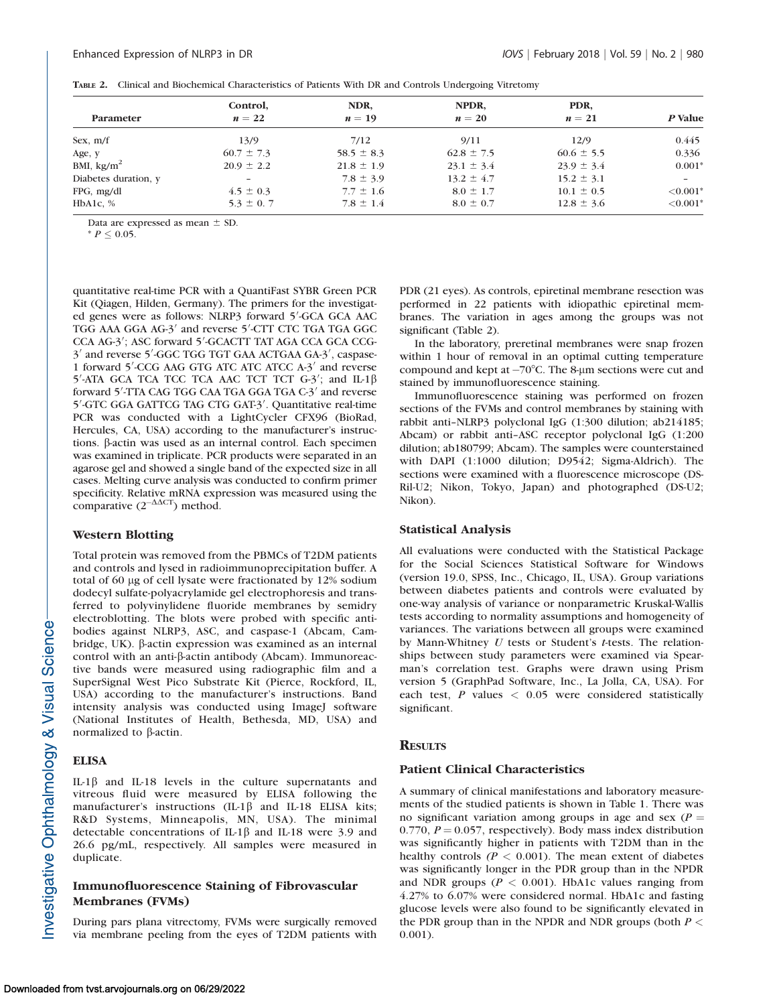|                      | Control,<br>$n=22$       | NDR,<br>$n=19$ | NPDR,<br>$n=20$ | PDR,<br>$n=21$ | P Value                  |
|----------------------|--------------------------|----------------|-----------------|----------------|--------------------------|
| Parameter            |                          |                |                 |                |                          |
| Sex, $m/f$           | 13/9                     | 7/12           | 9/11            | 12/9           | 0.445                    |
| Age, y               | $60.7 \pm 7.3$           | $58.5 \pm 8.3$ | $62.8 \pm 7.5$  | $60.6 \pm 5.5$ | 0.336                    |
| BMI, $\text{kg/m}^2$ | $20.9 \pm 2.2$           | $21.8 \pm 1.9$ | $23.1 \pm 3.4$  | $23.9 \pm 3.4$ | $0.001*$                 |
| Diabetes duration, y | $\overline{\phantom{a}}$ | $7.8 \pm 3.9$  | $13.2 \pm 4.7$  | $15.2 \pm 3.1$ | $\overline{\phantom{a}}$ |
| $FPG$ , mg/dl        | $4.5 \pm 0.3$            | $7.7 \pm 1.6$  | $8.0 \pm 1.7$   | $10.1 \pm 0.5$ | $< 0.001*$               |
| HbA1c, $%$           | $5.3 \pm 0.7$            | $7.8 \pm 1.4$  | $8.0 \pm 0.7$   | $12.8 \pm 3.6$ | ${<}0.001*$              |

TABLE 2. Clinical and Biochemical Characteristics of Patients With DR and Controls Undergoing Vitretomy

Data are expressed as mean  $\pm$  SD.

 $* P \leq 0.05.$ 

quantitative real-time PCR with a QuantiFast SYBR Green PCR Kit (Qiagen, Hilden, Germany). The primers for the investigated genes were as follows: NLRP3 forward 5'-GCA GCA AAC TGG AAA GGA AG-3<sup>'</sup> and reverse 5'-CTT CTC TGA TGA GGC CCA AG-3'; ASC forward 5'-GCACTT TAT AGA CCA GCA CCG-3' and reverse 5'-GGC TGG TGT GAA ACTGAA GA-3', caspase-1 forward 5'-CCG AAG GTG ATC ATC ATCC A-3' and reverse  $5'$ -ATA GCA TCA TCC TCA AAC TCT TCT G-3'; and IL-1 $\beta$ forward 5'-TTA CAG TGG CAA TGA GGA TGA C-3' and reverse 5'-GTC GGA GATTCG TAG CTG GAT-3'. Quantitative real-time PCR was conducted with a LightCycler CFX96 (BioRad, Hercules, CA, USA) according to the manufacturer's instructions. β-actin was used as an internal control. Each specimen was examined in triplicate. PCR products were separated in an agarose gel and showed a single band of the expected size in all cases. Melting curve analysis was conducted to confirm primer specificity. Relative mRNA expression was measured using the comparative  $(2^{-\Delta\Delta CT})$  method.

# Western Blotting

Total protein was removed from the PBMCs of T2DM patients and controls and lysed in radioimmunoprecipitation buffer. A total of 60 µg of cell lysate were fractionated by 12% sodium dodecyl sulfate-polyacrylamide gel electrophoresis and transferred to polyvinylidene fluoride membranes by semidry electroblotting. The blots were probed with specific antibodies against NLRP3, ASC, and caspase-1 (Abcam, Cambridge, UK). b-actin expression was examined as an internal control with an anti- $\beta$ -actin antibody (Abcam). Immunoreactive bands were measured using radiographic film and a SuperSignal West Pico Substrate Kit (Pierce, Rockford, IL, USA) according to the manufacturer's instructions. Band intensity analysis was conducted using ImageJ software (National Institutes of Health, Bethesda, MD, USA) and normalized to  $\beta$ -actin.

# **ELISA**

IL-1 $\beta$  and IL-18 levels in the culture supernatants and vitreous fluid were measured by ELISA following the manufacturer's instructions  $(IL-1\beta$  and IL-18 ELISA kits; R&D Systems, Minneapolis, MN, USA). The minimal detectable concentrations of IL-1 $\beta$  and IL-18 were 3.9 and 26.6 pg/mL, respectively. All samples were measured in duplicate.

# Immunofluorescence Staining of Fibrovascular Membranes (FVMs)

During pars plana vitrectomy, FVMs were surgically removed via membrane peeling from the eyes of T2DM patients with PDR (21 eyes). As controls, epiretinal membrane resection was performed in 22 patients with idiopathic epiretinal membranes. The variation in ages among the groups was not significant (Table 2).

In the laboratory, preretinal membranes were snap frozen within 1 hour of removal in an optimal cutting temperature compound and kept at  $-70^{\circ}$ C. The 8-µm sections were cut and stained by immunofluorescence staining.

Immunofluorescence staining was performed on frozen sections of the FVMs and control membranes by staining with rabbit anti–NLRP3 polyclonal IgG (1:300 dilution; ab214185; Abcam) or rabbit anti–ASC receptor polyclonal IgG (1:200 dilution; ab180799; Abcam). The samples were counterstained with DAPI (1:1000 dilution; D9542; Sigma-Aldrich). The sections were examined with a fluorescence microscope (DS-Ril-U2; Nikon, Tokyo, Japan) and photographed (DS-U2; Nikon).

# Statistical Analysis

All evaluations were conducted with the Statistical Package for the Social Sciences Statistical Software for Windows (version 19.0, SPSS, Inc., Chicago, IL, USA). Group variations between diabetes patients and controls were evaluated by one-way analysis of variance or nonparametric Kruskal-Wallis tests according to normality assumptions and homogeneity of variances. The variations between all groups were examined by Mann-Whitney  $U$  tests or Student's  $t$ -tests. The relationships between study parameters were examined via Spearman's correlation test. Graphs were drawn using Prism version 5 (GraphPad Software, Inc., La Jolla, CA, USA). For each test, P values < 0.05 were considered statistically significant.

# **RESULTS**

# Patient Clinical Characteristics

A summary of clinical manifestations and laboratory measurements of the studied patients is shown in Table 1. There was no significant variation among groups in age and sex ( $P =$ 0.770,  $P = 0.057$ , respectively). Body mass index distribution was significantly higher in patients with T2DM than in the healthy controls ( $P < 0.001$ ). The mean extent of diabetes was significantly longer in the PDR group than in the NPDR and NDR groups ( $P < 0.001$ ). HbA1c values ranging from 4.27% to 6.07% were considered normal. HbA1c and fasting glucose levels were also found to be significantly elevated in the PDR group than in the NPDR and NDR groups (both  $P <$ 0.001).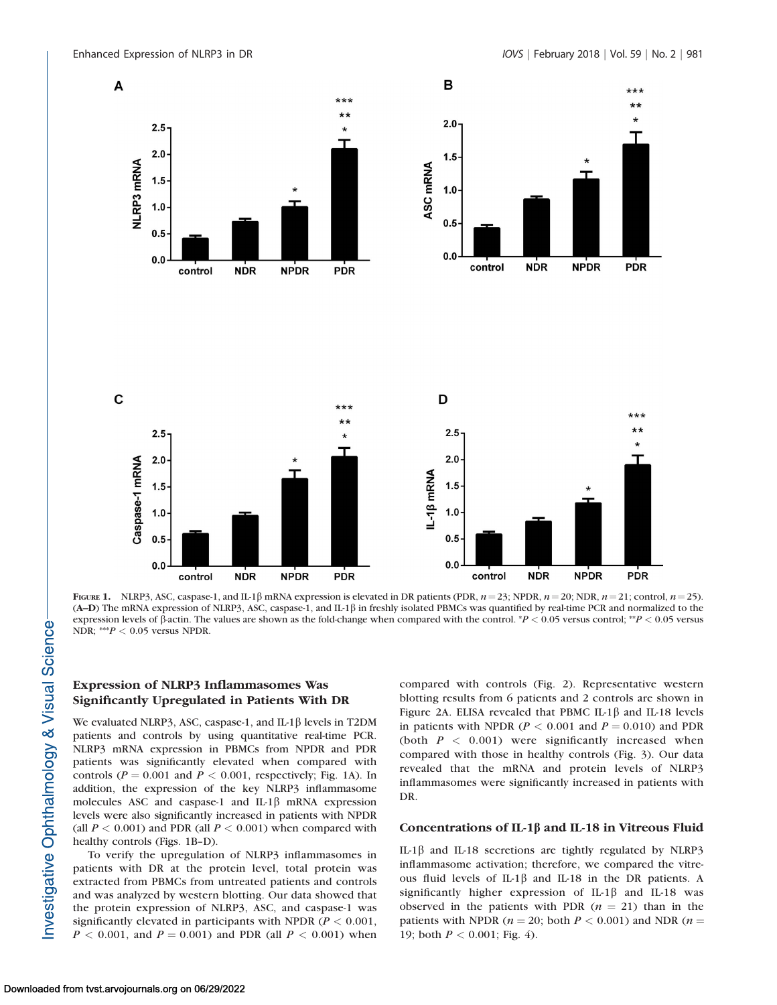

FIGURE 1. NLRP3, ASC, caspase-1, and IL-1 $\beta$  mRNA expression is elevated in DR patients (PDR,  $n = 23$ ; NPDR,  $n = 20$ ; NDR,  $n = 21$ ; control,  $n = 25$ ). (A–D) The mRNA expression of NLRP3, ASC, caspase-1, and IL-1b in freshly isolated PBMCs was quantified by real-time PCR and normalized to the expression levels of  $\beta$ -actin. The values are shown as the fold-change when compared with the control. \*P < 0.05 versus control; \*P < 0.05 versus NDR; \*\*\* $P < 0.05$  versus NPDR.

# Expression of NLRP3 Inflammasomes Was Significantly Upregulated in Patients With DR

We evaluated NLRP3, ASC, caspase-1, and IL-1 $\beta$  levels in T2DM patients and controls by using quantitative real-time PCR. NLRP3 mRNA expression in PBMCs from NPDR and PDR patients was significantly elevated when compared with controls ( $P = 0.001$  and  $P < 0.001$ , respectively; Fig. 1A). In addition, the expression of the key NLRP3 inflammasome molecules ASC and caspase-1 and IL-1 $\beta$  mRNA expression levels were also significantly increased in patients with NPDR (all  $P < 0.001$ ) and PDR (all  $P < 0.001$ ) when compared with healthy controls (Figs. 1B–D).

To verify the upregulation of NLRP3 inflammasomes in patients with DR at the protein level, total protein was extracted from PBMCs from untreated patients and controls and was analyzed by western blotting. Our data showed that the protein expression of NLRP3, ASC, and caspase-1 was significantly elevated in participants with NPDR ( $P < 0.001$ ,  $P < 0.001$ , and  $P = 0.001$ ) and PDR (all  $P < 0.001$ ) when

compared with controls (Fig. 2). Representative western blotting results from 6 patients and 2 controls are shown in Figure 2A. ELISA revealed that PBMC IL-1 $\beta$  and IL-18 levels in patients with NPDR ( $P < 0.001$  and  $P = 0.010$ ) and PDR (both  $P < 0.001$ ) were significantly increased when compared with those in healthy controls (Fig. 3). Our data revealed that the mRNA and protein levels of NLRP3 inflammasomes were significantly increased in patients with DR.

#### Concentrations of IL-1 $\beta$  and IL-18 in Vitreous Fluid

IL-1 $\beta$  and IL-18 secretions are tightly regulated by NLRP3 inflammasome activation; therefore, we compared the vitreous fluid levels of IL-1 $\beta$  and IL-18 in the DR patients. A significantly higher expression of IL-1 $\beta$  and IL-18 was observed in the patients with PDR  $(n = 21)$  than in the patients with NPDR ( $n = 20$ ; both  $P < 0.001$ ) and NDR ( $n =$ 19; both  $P < 0.001$ ; Fig. 4).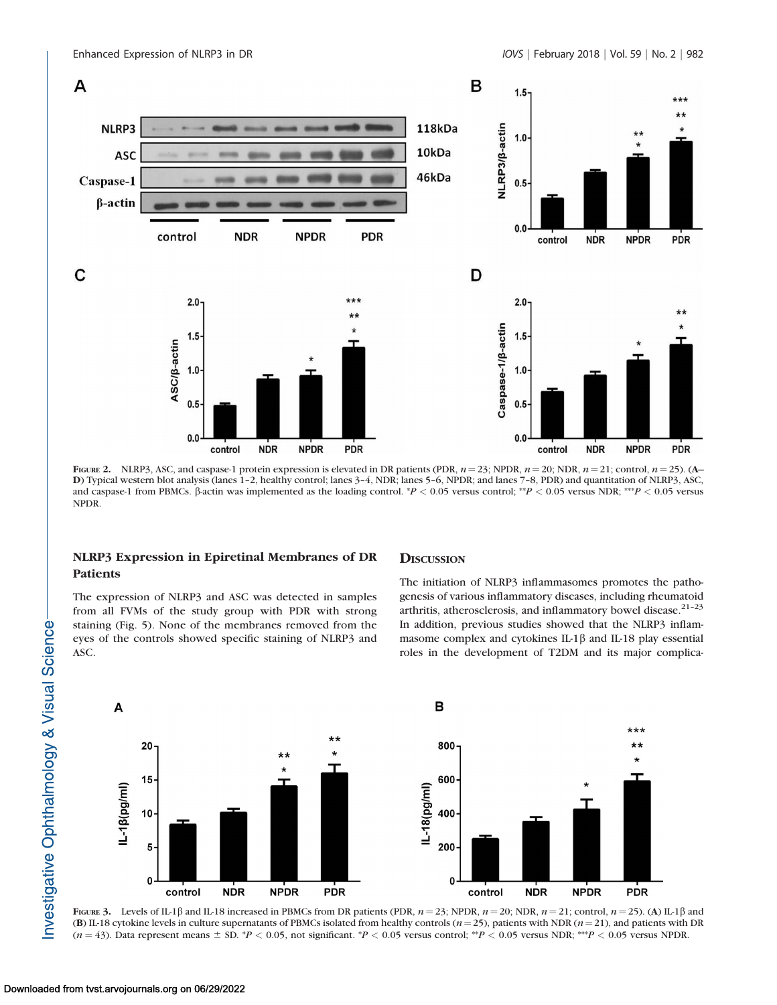

FIGURE 2. NLRP3, ASC, and caspase-1 protein expression is elevated in DR patients (PDR,  $n = 23$ ; NPDR,  $n = 20$ ; NDR,  $n = 21$ ; control,  $n = 25$ ). (A– D) Typical western blot analysis (lanes 1–2, healthy control; lanes 3–4, NDR; lanes 5–6, NPDR; and lanes 7–8, PDR) and quantitation of NLRP3, ASC, and caspase-1 from PBMCs.  $\beta$ -actin was implemented as the loading control.  $P < 0.05$  versus control; \*\*P < 0.05 versus NDR; \*\*\*P < 0.05 versus NPDR.

# NLRP3 Expression in Epiretinal Membranes of DR Patients

The expression of NLRP3 and ASC was detected in samples from all FVMs of the study group with PDR with strong staining (Fig. 5). None of the membranes removed from the eyes of the controls showed specific staining of NLRP3 and ASC.

#### **DISCUSSION**

The initiation of NLRP3 inflammasomes promotes the pathogenesis of various inflammatory diseases, including rheumatoid arthritis, atherosclerosis, and inflammatory bowel disease. $21-23$ In addition, previous studies showed that the NLRP3 inflammasome complex and cytokines IL-1 $\beta$  and IL-18 play essential roles in the development of T2DM and its major complica-



FIGURE 3. Levels of IL-1 $\beta$  and IL-18 increased in PBMCs from DR patients (PDR,  $n = 23$ ; NPDR,  $n = 20$ ; NDR,  $n = 21$ ; control,  $n = 25$ ). (A) IL-1 $\beta$  and (B) IL-18 cytokine levels in culture supernatants of PBMCs isolated from healthy controls ( $n=25$ ), patients with NDR ( $n=21$ ), and patients with DR  $(n = 43)$ . Data represent means  $\pm$  SD. \*P < 0.05, not significant. \*P < 0.05 versus control; \*\*P < 0.05 versus NDR; \*\*\*P < 0.05 versus NDR;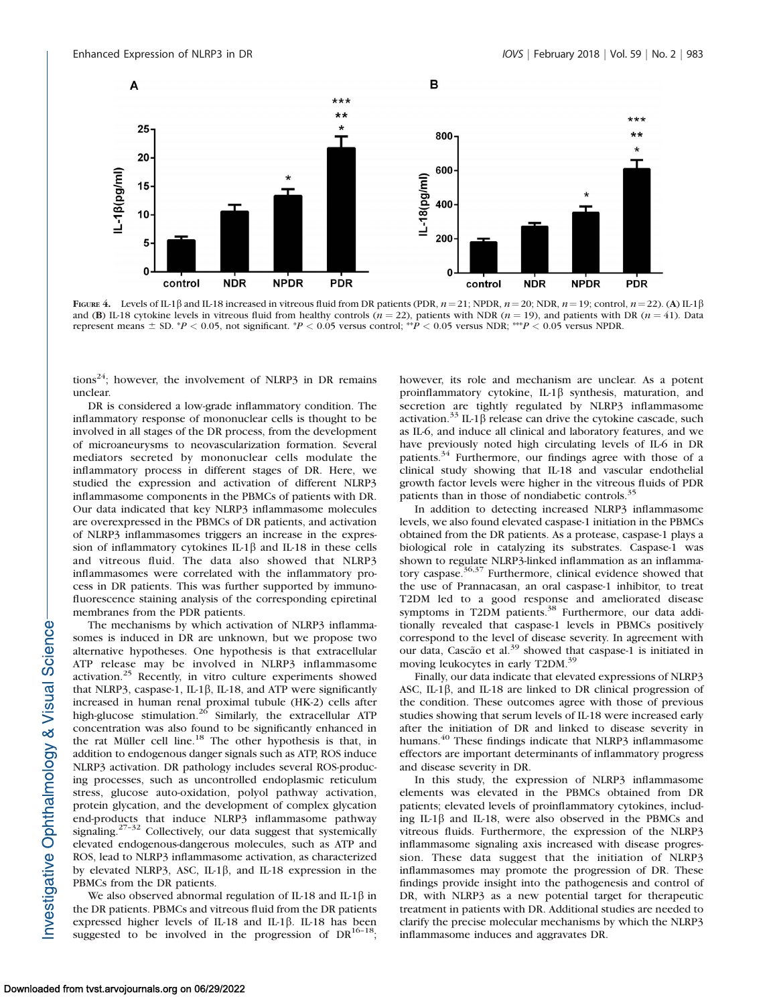

FIGURE 4. Levels of IL-1 $\beta$  and IL-18 increased in vitreous fluid from DR patients (PDR,  $n = 21$ ; NPDR,  $n = 20$ ; NDR,  $n = 19$ ; control,  $n = 22$ ). (A) IL-1 $\beta$ and (B) IL-18 cytokine levels in vitreous fluid from healthy controls  $(n = 22)$ , patients with NDR  $(n = 19)$ , and patients with DR  $(n = 41)$ . Data represent means  $\pm$  SD. \*P < 0.05, not significant. \*P < 0.05 versus control; \*\*P < 0.05 versus NDR; \*\*\*P < 0.05 versus NPDR.

tions<sup>24</sup>; however, the involvement of NLRP3 in DR remains unclear.

DR is considered a low-grade inflammatory condition. The inflammatory response of mononuclear cells is thought to be involved in all stages of the DR process, from the development of microaneurysms to neovascularization formation. Several mediators secreted by mononuclear cells modulate the inflammatory process in different stages of DR. Here, we studied the expression and activation of different NLRP3 inflammasome components in the PBMCs of patients with DR. Our data indicated that key NLRP3 inflammasome molecules are overexpressed in the PBMCs of DR patients, and activation of NLRP3 inflammasomes triggers an increase in the expression of inflammatory cytokines IL-1 $\beta$  and IL-18 in these cells and vitreous fluid. The data also showed that NLRP3 inflammasomes were correlated with the inflammatory process in DR patients. This was further supported by immunofluorescence staining analysis of the corresponding epiretinal membranes from the PDR patients.

The mechanisms by which activation of NLRP3 inflammasomes is induced in DR are unknown, but we propose two alternative hypotheses. One hypothesis is that extracellular ATP release may be involved in NLRP3 inflammasome activation.<sup>25</sup> Recently, in vitro culture experiments showed that NLRP3, caspase-1, IL-1 $\beta$ , IL-18, and ATP were significantly increased in human renal proximal tubule (HK-2) cells after high-glucose stimulation.<sup>26</sup> Similarly, the extracellular ATP concentration was also found to be significantly enhanced in the rat Müller cell line.<sup>18</sup> The other hypothesis is that, in addition to endogenous danger signals such as ATP, ROS induce NLRP3 activation. DR pathology includes several ROS-producing processes, such as uncontrolled endoplasmic reticulum stress, glucose auto-oxidation, polyol pathway activation, protein glycation, and the development of complex glycation end-products that induce NLRP3 inflammasome pathway signaling.<sup>27-32</sup> Collectively, our data suggest that systemically elevated endogenous-dangerous molecules, such as ATP and ROS, lead to NLRP3 inflammasome activation, as characterized by elevated NLRP3, ASC, IL-1 $\beta$ , and IL-18 expression in the PBMCs from the DR patients.

We also observed abnormal regulation of IL-18 and IL-1 $\beta$  in the DR patients. PBMCs and vitreous fluid from the DR patients expressed higher levels of IL-18 and IL-1 $\beta$ . IL-18 has been suggested to be involved in the progression of  $DR^{16-18}$ ; however, its role and mechanism are unclear. As a potent proinflammatory cytokine, IL-1 $\beta$  synthesis, maturation, and secretion are tightly regulated by NLRP3 inflammasome activation.<sup>33</sup> IL-1 $\beta$  release can drive the cytokine cascade, such as IL-6, and induce all clinical and laboratory features, and we have previously noted high circulating levels of IL-6 in DR patients.<sup>34</sup> Furthermore, our findings agree with those of a clinical study showing that IL-18 and vascular endothelial growth factor levels were higher in the vitreous fluids of PDR patients than in those of nondiabetic controls.<sup>35</sup>

In addition to detecting increased NLRP3 inflammasome levels, we also found elevated caspase-1 initiation in the PBMCs obtained from the DR patients. As a protease, caspase-1 plays a biological role in catalyzing its substrates. Caspase-1 was shown to regulate NLRP3-linked inflammation as an inflammatory caspase.<sup>36,37</sup> Furthermore, clinical evidence showed that the use of Prannacasan, an oral caspase-1 inhibitor, to treat T2DM led to a good response and ameliorated disease symptoms in T2DM patients.<sup>38</sup> Furthermore, our data additionally revealed that caspase-1 levels in PBMCs positively correspond to the level of disease severity. In agreement with our data, Cascão et al.<sup>39</sup> showed that caspase-1 is initiated in moving leukocytes in early T2DM.<sup>39</sup>

Finally, our data indicate that elevated expressions of NLRP3 ASC, IL-1 $\beta$ , and IL-18 are linked to DR clinical progression of the condition. These outcomes agree with those of previous studies showing that serum levels of IL-18 were increased early after the initiation of DR and linked to disease severity in humans.<sup>40</sup> These findings indicate that NLRP3 inflammasome effectors are important determinants of inflammatory progress and disease severity in DR.

In this study, the expression of NLRP3 inflammasome elements was elevated in the PBMCs obtained from DR patients; elevated levels of proinflammatory cytokines, including IL-1 $\beta$  and IL-18, were also observed in the PBMCs and vitreous fluids. Furthermore, the expression of the NLRP3 inflammasome signaling axis increased with disease progression. These data suggest that the initiation of NLRP3 inflammasomes may promote the progression of DR. These findings provide insight into the pathogenesis and control of DR, with NLRP3 as a new potential target for therapeutic treatment in patients with DR. Additional studies are needed to clarify the precise molecular mechanisms by which the NLRP3 inflammasome induces and aggravates DR.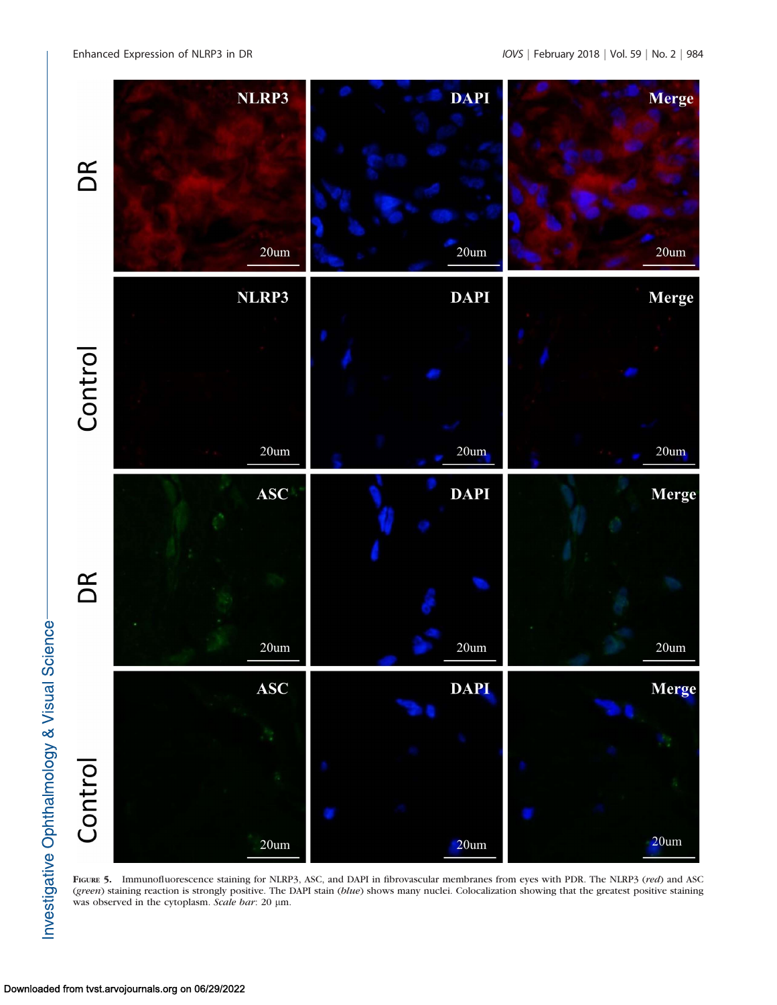

FIGURE 5. Immunofluorescence staining for NLRP3, ASC, and DAPI in fibrovascular membranes from eyes with PDR. The NLRP3 (red) and ASC (green) staining reaction is strongly positive. The DAPI stain (blue) shows many nuclei. Colocalization showing that the greatest positive staining was observed in the cytoplasm. Scale bar: 20 µm.

Investigative Ophthalmology & Visual Science-